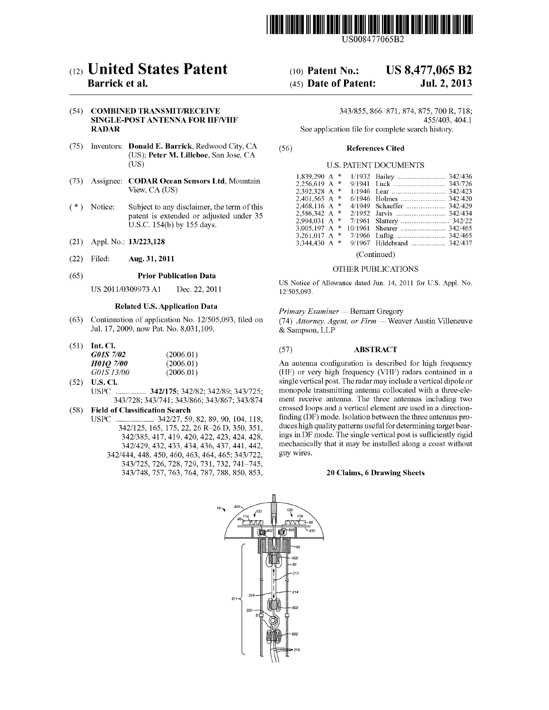

US008477065B2

# c12) **United States Patent**

### **Barrick et al.**

#### (54) **COMBINED TRANSMIT/RECEIVE SINGLE-POST ANTENNA FOR HF/VHF RADAR**

- (75) Inventors: **Donald E. Barrick,** Redwood City, CA (US); **Peter M. Lilleboe,** San Jose, CA (US)
- (73) Assignee: **CODAR Ocean Sensors Ltd,** Mountain View, CA (US)
- $(*)$  Notice: Subject to any disclaimer, the term of this patent is extended or adjusted under 35 U.S.C. 154(b) by 155 days.
- (21) Appl. No.: **13/223,128**
- (22) Filed: **Aug. 31, 2011**

#### (65) **Prior Publication Data**

US 2011/0309973 Al Dec. 22, 2011

#### **Related U.S. Application Data**

- (63) Continuation of application No. 12/505,093, filed on Jul. 17, 2009, now Pat. No. 8,031,109.
- (51) **Int. Cl.**

| G01S 7/02        | (2006.01) |
|------------------|-----------|
| <b>H01Q 7/00</b> | (2006.01) |
| G01S 13/00       | (2006.01) |

(52) **U.S. Cl.**  USPC ............... **342/175;** 342/82; 342/89; 343/725; 343/728; 343/741; 343/866; 343/867; 343/874

#### ( 58) **Field of Classification Search**

USPC ................... 342/27, 59, 82, 89, 90, 104, 118, 342/125, 165, 175, 22, 26 R-26 D, 350, 351, 342/385,417,419,420,422,423,424,428, 342/429,432,433,434,436,437,441,442, 342/444,448,450,460,463,464,465;343/722, 343/725, 726, 728, 729, 731, 732, 741-745, 343/748, 757, 763, 764, 787, 788, 850, 853,

# (10) **Patent No.: US 8,477,065 B2**

# (45) **Date of Patent: Jul. 2, 2013**

343/855, 866-871, 874, 875, 700 R, 718; 455/403, 404.1

See application file for complete search history.

#### (56) **References Cited**

#### U.S. PATENT DOCUMENTS

| $1.839.290 \text{ A}$ *<br>2.256.619 A $*$<br>2.392.328 A *<br>2.401.565 A $*$<br>2,468,116 A *<br>2.586.342 A $*$<br>2.994.031 A $*$ |  |                            |  |
|---------------------------------------------------------------------------------------------------------------------------------------|--|----------------------------|--|
|                                                                                                                                       |  |                            |  |
|                                                                                                                                       |  |                            |  |
|                                                                                                                                       |  |                            |  |
|                                                                                                                                       |  |                            |  |
| 3.005.197 A $*$                                                                                                                       |  |                            |  |
| 3.261.017 A $*$                                                                                                                       |  |                            |  |
| 3.344.430 A $*$                                                                                                                       |  | 9/1967 Hildebrand  342/437 |  |
|                                                                                                                                       |  |                            |  |

(Continued)

#### OTHER PUBLICATIONS

US Notice of Allowance dated Jun. 14, 2011 for U.S. Appl. No. 12/505,093.

#### *Primary Examiner* - Bernarr Gregory

(74) *Attorney, Agent, or Firm* - Weaver Austin Villeneuve & Sampson, LLP

#### (57) **ABSTRACT**

An antenna configuration is described for high frequency (HF) or very high frequency (VHF) radars contained in a single vertical post. The radar may include a vertical dipole or monopole transmitting antenna collocated with a three-element receive antenna. The three antennas including two crossed loops and a vertical element are used in a directionfinding (DF) mode. Isolation between the three antennas produces high quality patterns useful for determining target bearings in DF mode. The single vertical post is sufficiently rigid mechanically that it may be installed along a coast without guy wires.

#### **20 Claims, 6 Drawing Sheets**

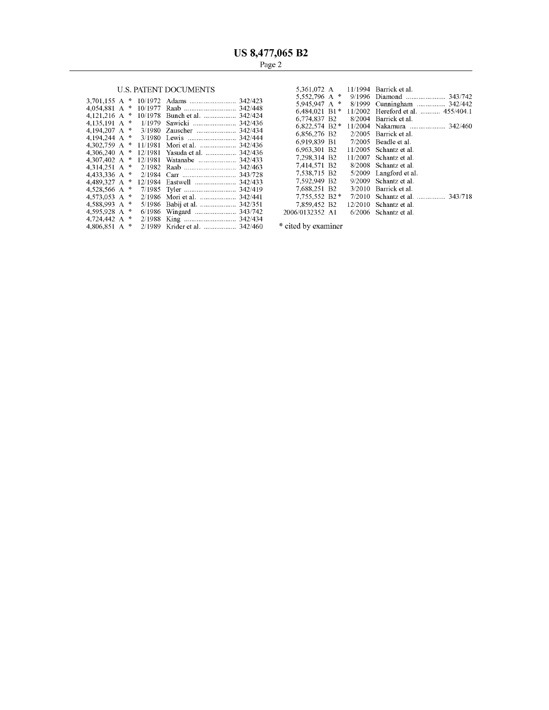## U.S. PATENT DOCUMENTS

|                 |  |                                | $5.332.790$ A $^{\circ}$                | $9/1996$ Diamond          |
|-----------------|--|--------------------------------|-----------------------------------------|---------------------------|
| 3.701.155 A $*$ |  |                                | 5.945.947 A $*$                         | 8/1999 Cunningham.        |
| 4.054.881 A $*$ |  |                                | 6.484.021 B1*                           | $11/2002$ Hereford et al. |
| 4.121.216 A $*$ |  | 10/1978 Bunch et al.  342/424  | 6.774.837 B2                            | 8/2004 Barrick et al.     |
| 4.135.191 A $*$ |  | 1/1979 Sawicki  342/436        |                                         |                           |
| 4.194.207 A $*$ |  | 3/1980 Zauscher  342/434       | $6,822,574$ B <sub>2</sub> <sup>*</sup> | 11/2004 Nakamura          |
| 4.194.244 A $*$ |  |                                | 6.856.276 B2                            | $2/2005$ Barrick et al.   |
|                 |  |                                | 6.919.839 B1                            | $7/2005$ Beadle et al.    |
| 4.306.240 A $*$ |  |                                | 6,963,301 B2                            | $11/2005$ Schantz et al.  |
|                 |  | 12/1981 Yasuda et al.  342/436 | 7.298.314 B2                            | $11/2007$ Schantz et al.  |
| 4.307.402 A $*$ |  | 12/1981 Watanabe  342/433      |                                         |                           |
| 4.314.251 A $*$ |  |                                | 7.414.571 B2                            | 8/2008 Schantz et al.     |
| 4.433.336 A $*$ |  |                                | 7.538.715 B2                            | 5/2009 Langford et al.    |
| 4.489.327 A $*$ |  |                                | 7.592.949 B2                            | 9/2009 Schantz et al.     |
| 4.528.566 A $*$ |  |                                | 7.688.251 B2                            | 3/2010 Barrick et al.     |
| 4.573.053 A $*$ |  |                                | $7.755.552 B2*$                         | $7/2010$ Schantz et al    |
| 4.588.993 A $*$ |  |                                | 7,859,452 B2                            | $12/2010$ Schantz et al.  |
| 4.595.928 A $*$ |  |                                | 2006/0132352 A1                         | $6/2006$ Schantz et al.   |
| 4.724.442 A $*$ |  |                                |                                         |                           |
| 4.806.851 A $*$ |  | 2/1989 Krider et al.  342/460  | * cited by examiner                     |                           |

|  |  | U.S. PATENT DOCUMENTS                        |                 |  | 5.361.072 A 11/1994 Barrick et al.                  |
|--|--|----------------------------------------------|-----------------|--|-----------------------------------------------------|
|  |  |                                              | 5.552.796 A $*$ |  |                                                     |
|  |  |                                              |                 |  | 5,945,947 A * 8/1999 Cunningham  342/442            |
|  |  |                                              |                 |  | 6,484,021 B1 $*$ 11/2002 Hereford et al.  455/404.1 |
|  |  | 4,121,216 A * 10/1978 Bunch et al.  342/424  | 6.774.837 B2    |  | 8/2004 Barrick et al.                               |
|  |  |                                              |                 |  |                                                     |
|  |  |                                              | 6.856.276 B2    |  | 2/2005 Barrick et al.                               |
|  |  |                                              |                 |  |                                                     |
|  |  |                                              | 6.919.839 B1    |  | 7/2005 Beadle et al.                                |
|  |  | 4,306,240 A * 12/1981 Yasuda et al.  342/436 | 6,963,301 B2    |  | $11/2005$ Schantz et al.                            |
|  |  |                                              | 7.298.314 B2    |  | $11/2007$ Schantz et al.                            |
|  |  |                                              | 7.414.571 B2    |  | 8/2008 Schantz et al.                               |
|  |  |                                              |                 |  |                                                     |
|  |  |                                              | 7.538.715 B2    |  | 5/2009 Langford et al.                              |
|  |  |                                              | 7.592.949 B2    |  | 9/2009 Schantz et al.                               |
|  |  |                                              | 7.688.251 B2    |  | 3/2010 Barrick et al.                               |
|  |  |                                              | $7.755.552 B2*$ |  | 7/2010 Schantz et al.  343/718                      |
|  |  |                                              | 7.859.452 B2    |  | $12/2010$ Schantz et al.                            |
|  |  |                                              | 2006/0132352 A1 |  | $6/2006$ Schantz et al.                             |

 $^\ast$ cited by examiner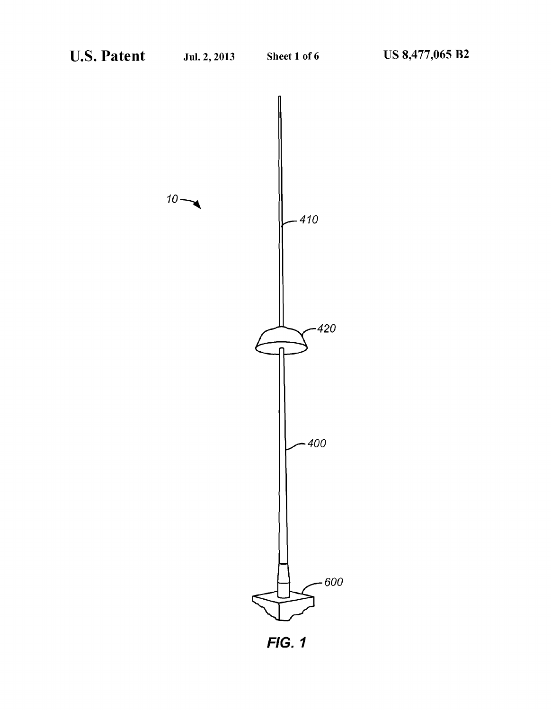$10 -$ 



**FIG. 1**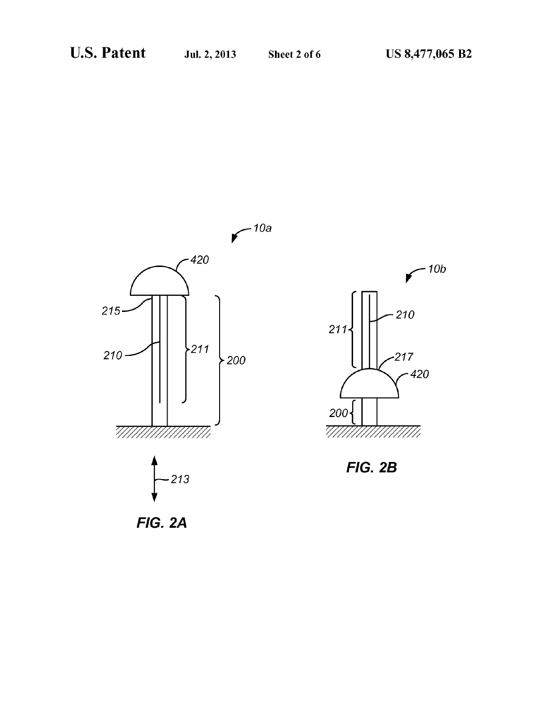*,-1ob* 





*211* 

FIG. 2A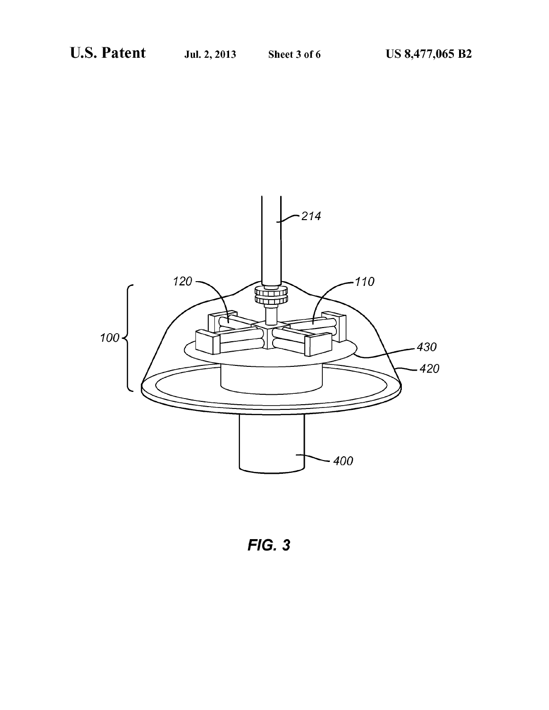

FIG. 3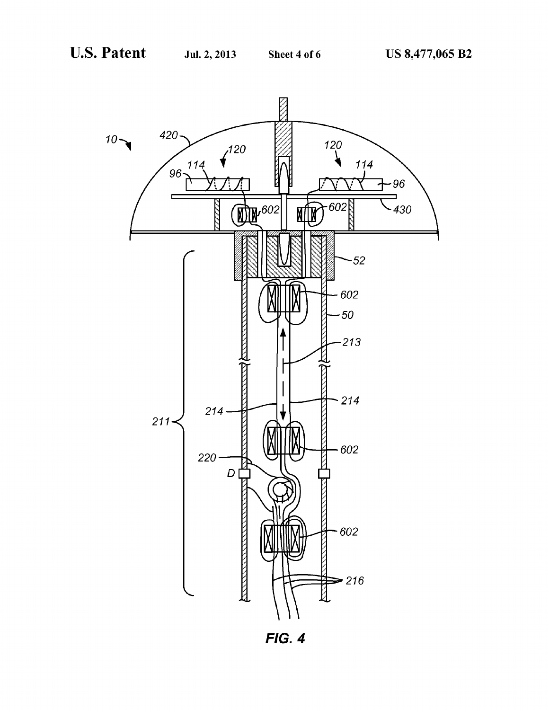

FIG. 4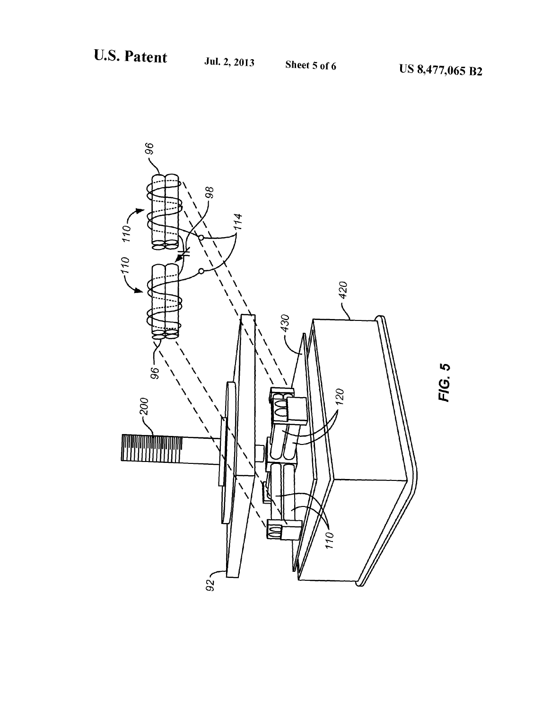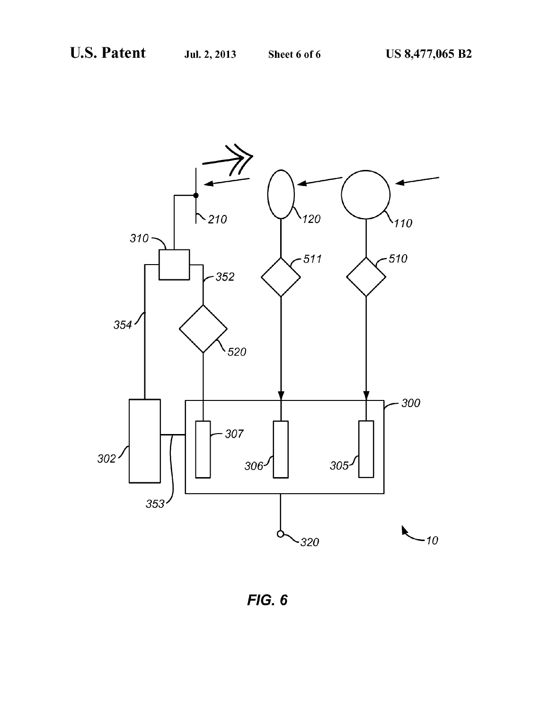

FIG. 6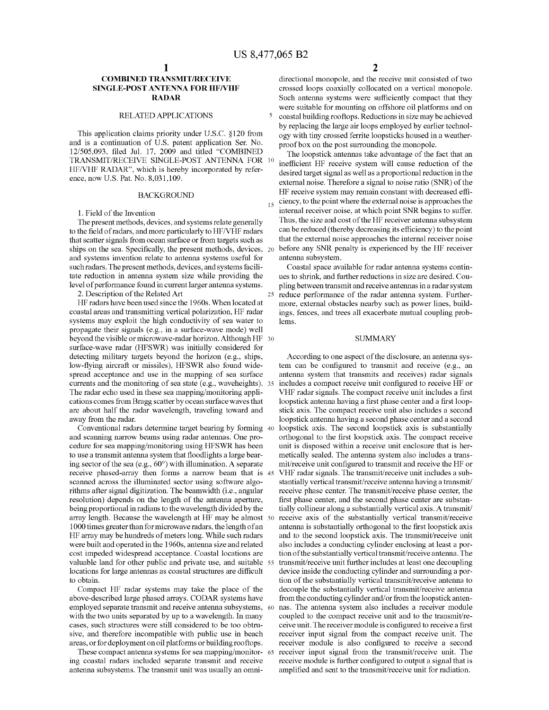5

### **COMBINED TRANSMIT/RECEIVE SINGLE-POST ANTENNA FOR HFNHF RADAR**

#### RELATED APPLICATIONS

This application claims priority under U.S.C. §120 from and is a continuation of U.S. patent application Ser. No. 12/505,093, filed Jul. 17, 2009 and titled "COMBINED TRANSMIT/RECEIVE SINGLE-POST ANTENNA FOR HFNHF RADAR", which is hereby incorporated by reference, now U.S. Pat. No. 8,031,109.

#### **BACKGROUND**

1. Field of the Invention

The present methods, devices, and systems relate generally to the field of radars, and more particularly to HF/VHF radars that scatter signals from ocean surface or from targets such as ships on the sea. Specifically, the present methods, devices, 20 and systems invention relate to antenna systems useful for such radars. The present methods, devices, and systems facilitate reduction in antenna system size while providing the level of performance found in current larger antenna systems.

HF radars have been used since the 1960s. When located at coastal areas and transmitting vertical polarization, HF radar systems may exploit the high conductivity of sea water to propagate their signals (e.g., in a surface-wave mode) well beyond the visible or microwave-radar horizon. Although HF 30 surface-wave radar (HFSWR) was initially considered for detecting military targets beyond the horizon (e.g., ships, low-flying aircraft or missiles), HFSWR also found widespread acceptance and use in the mapping of sea surface currents and the monitoring of sea state (e.g., waveheights ). 35 The radar echo used in these sea mapping/monitoring applications comes from Bragg scatter by ocean surface waves that are about half the radar wavelength, traveling toward and away from the radar.

Conventional radars determine target bearing by forming 40 and scanning narrow beams using radar antennas. One procedure for sea mapping/monitoring using HFSWR has been to use a transmit antenna system that floodlights a large bearing sector of the sea (e.g., 60°) with illumination. A separate receive phased-array then forms a narrow beam that is 45 scanned across the illuminated sector using software algorithms after signal digitization. The beamwidth (i.e., angular resolution) depends on the length of the antenna aperture, being proportional in radians to the wavelength divided by the array length. Because the wavelength at HF may be almost 50 1000 times greater than for microwave radars, the length of an HF array may be hundreds of meters long. While such radars were built and operated in the 1960s, antenna size and related cost impeded widespread acceptance. Coastal locations are valuable land for other public and private use, and suitable 55 locations for large antennas as coastal structures are difficult to obtain.

Compact HF radar systems may take the place of the above-described large phased arrays. CODAR systems have employed separate transmit and receive antenna subsystems, 60 with the two units separated by up to a wavelength. In many cases, such structures were still considered to be too obtrusive, and therefore incompatible with public use in beach areas, or for deployment on oil platforms or building rooftops.

These compact antenna systems for sea mapping/monitor- 65 ing coastal radars included separate transmit and receive antenna subsystems. The transmit unit was usually an omni**2** 

directional monopole, and the receive unit consisted of two crossed loops coaxially collocated on a vertical monopole. Such antenna systems were sufficiently compact that they were suitable for mounting on offshore oil platforms and on coastal building rooftops. Reductions in size may be achieved by replacing the large air loops employed by earlier technology with tiny crossed ferrite loopsticks housed in a weatherproof box on the post surrounding the monopole.

The loopstick antennas take advantage of the fact that an inefficient HF receive system will cause reduction of the desired target signal as well as a proportional reduction in the external noise. Therefore a signal to noise ratio (SNR) of the HF receive system may remain constant with decreased efficiency, to the point where the external noise is approaches the internal receiver noise, at which point SNR begins to suffer. Thus, the size and cost of the HF receiver antenna subsystem can be reduced (thereby decreasing its efficiency) to the point that the external noise approaches the internal receiver noise before any SNR penalty is experienced by the HF receiver antenna subsystem.

Coastal space available for radar antenna systems continues to shrink, and further reductions in size are desired. Coupling between transmit and receive antennas in a radar system 2. Description of the Related Art 25 reduce performance of the radar antenna system. Furthermore, external obstacles nearby such as power lines, buildings, fences, and trees all exacerbate mutual coupling problems.

#### SUMMARY

According to one aspect of the disclosure, an antenna system can be configured to transmit and receive (e.g., an antenna system that transmits and receives) radar signals includes a compact receive unit configured to receive HF or VHF radar signals. The compact receive unit includes a first loopstick antenna having a first phase center and a first loopstick axis. The compact receive unit also includes a second loopstick antenna having a second phase center and a second loopstick axis. The second loopstick axis is substantially orthogonal to the first loopstick axis. The compact receive unit is disposed within a receive unit enclosure that is hermetically sealed. The antenna system also includes a transmit/receive unit configured to transmit and receive the HF or VHF radar signals. The transmit/receive unit includes a substantially vertical transmit/receive antenna having a transmit/ receive phase center. The transmit/receive phase center, the first phase center, and the second phase center are substantially collinear along a substantially vertical axis. A transmit/ receive axis of the substantially vertical transmit/receive antenna is substantially orthogonal to the first loopstick axis and to the second loopstick axis. The transmit/receive unit also includes a conducting cylinder enclosing at least a portion of the substantially vertical transmit/receive antenna. The transmit/receive unit further includes at least one decoupling device inside the conducting cylinder and surrounding a portion of the substantially vertical transmit/receive antenna to decouple the substantially vertical transmit/receive antenna from the conducting cylinder and/or from the loopstick antennas. The antenna system also includes a receiver module coupled to the compact receive unit and to the transmit/receive unit. The receiver module is configured to receive a first receiver input signal from the compact receive unit. The receiver module is also configured to receive a second receiver input signal from the transmit/receive unit. The receive module is further configured to output a signal that is amplified and sent to the transmit/receive unit for radiation.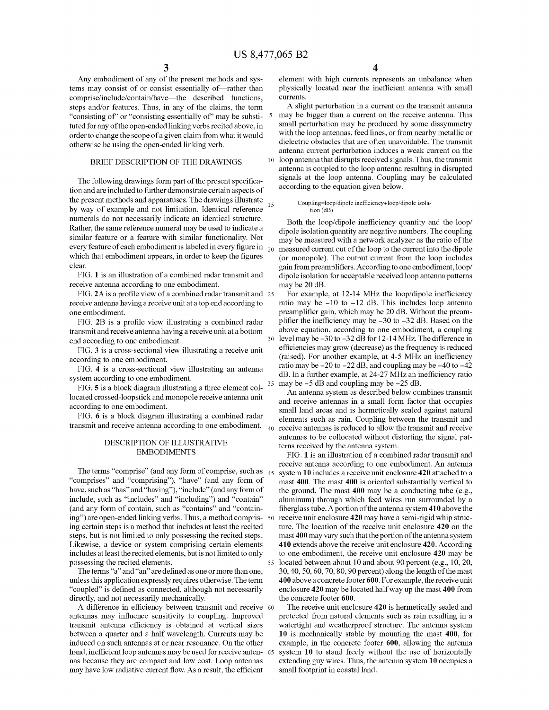Any embodiment of any of the present methods and systems may consist of or consist essentially of-rather than comprise/include/contain/have-the described functions, steps and/or features. Thus, in any of the claims, the term "consisting of' or "consisting essentially of' may be substituted for any of the open-ended linking verbs recited above, in order to change the scope of a given claim from what it would otherwise be using the open-ended linking verb.

#### BRIEF DESCRIPTION OF THE DRAWINGS

The following drawings form part of the present specification and are included to further demonstrate certain aspects of the present methods and apparatuses. The drawings illustrate<br>by way of example and not limitation. Identical reference <sup>15</sup> numerals do not necessarily indicate an identical structure. Rather, the same reference numeral may be used to indicate a similar feature or a feature with similar functionality. Not every feature of each embodiment is labeled in every figure in  $_{20}$ which that embodiment appears, in order to keep the figures clear.

FIG. **1** is an illustration of a combined radar transmit and receive antenna according to one embodiment.

FIG. 2A is a profile view of a combined radar transmit and 25 receive antenna having a receive unit at a top end according to one embodiment.

FIG. 2B is a profile view illustrating a combined radar transmit and receive antenna having a receive unit at a bottom end according to one embodiment.

FIG. 3 is a cross-sectional view illustrating a receive unit according to one embodiment.

FIG. **4** is a cross-sectional view illustrating an antenna system according to one embodiment.

FIG. **5** is a block diagram illustrating a three element collocated crossed-loopstick and monopole receive antenna unit according to one embodiment.

FIG. **6** is a block diagram illustrating a combined radar transmit and receive antenna according to one embodiment.  $\Delta$ 

#### DESCRIPTION OF ILLUSTRATIVE EMBODIMENTS

The terms "comprise" (and any form of comprise, such as  $45$  "comprises" and "comprising"), "have" (and any form of have, such as "has" and "having"), "include" (and any form of include, such as "includes" and "including") and "contain" (and any form of contain, such as "contains" and "containing") are open-ended linking verbs. Thus, a method comprising certain steps is a method that includes at least the recited steps, but is not limited to only possessing the recited steps. Likewise, a device or system comprising certain elements includes at least the recited elements, but is not limited to only possessing the recited elements.

The terms "a" and "an" are defined as one or more than one, unless this application expressly requires otherwise. The term "coupled" is defined as connected, although not necessarily directly, and not necessarily mechanically.

A difference in efficiency between transmit and receive 60 antennas may influence sensitivity to coupling. Improved transmit antenna efficiency is obtained at vertical sizes between a quarter and a half wavelength. Currents may be induced on such antennas at or near resonance. On the other hand, inefficient loop antennas may be used for receive anten- 65 nas because they are compact and low cost. Loop antennas may have low radiative current flow. As a result, the efficient

**4** 

element with high currents represents an unbalance when physically located near the inefficient antenna with small currents.

A slight perturbation in a current on the transmit antenna may be bigger than a current on the receive antenna. This small perturbation may be produced by some dissymmetry with the loop antennas, feed lines, or from nearby metallic or dielectric obstacles that are often unavoidable. The transmit antenna current perturbation induces a weak current on the 10 loop antenna that disrupts received signals. Thus, the transmit antenna is coupled to the loop antenna resulting in disrupted signals at the loop antenna. Coupling may be calculated according to the equation given below.

#### Coupling~loop/dipole inefficiency+loop/dipole isolation (dB)

Both the loop/dipole inefficiency quantity and the loop/ dipole isolation quantity are negative numbers. The coupling may be measured with a network analyzer as the ratio of the measured current out of the loop to the current into the dipole (or monopole). The output current from the loop includes gain from preamplifiers. According to one embodiment, loop/ dipole isolation for acceptable received loop antenna patterns maybe 20 dB.

For example, at 12-14 MHz the loop/dipole inefficiency ratio may be  $-10$  to  $-12$  dB. This includes loop antenna preamplifier gain, which may be 20 dB. Without the preamplifier the inefficiency may be -30 to -32 dB. Based on the above equation, according to one embodiment, a coupling 30 level maybe -30to -32 dB for 12-14 MHz. The difference in efficiencies may grow (decrease) as the frequency is reduced (raised). For another example, at 4-5 MHz an inefficiency ratio may be  $-20$  to  $-22$  dB, and coupling may be  $-40$  to  $-42$ dB. In a further example, at 24-27 MHz an inefficiency ratio 35 may be -5 dB and coupling may be -25 dB.

An antenna system as described below combines transmit and receive antennas in a small form factor that occupies small land areas and is hermetically sealed against natural elements such as rain. Coupling between the transmit and receive antennas is reduced to allow the transmit and receive antennas to be collocated without distorting the signal patterns received by the antenna system.

FIG. **1** is an illustration of a combined radar transmit and receive antenna according to one embodiment. An antenna system **10** includes a receive unit enclosure **420** attached to a mast 400. The mast 400 is oriented substantially vertical to the ground. The mast **400** may be a conducting tube (e.g., aluminum) through which feed wires run surrounded by a fiberglass tube. A portion of the antenna system **410** above the 50 receive unit enclosure **420** may have a semi-rigid whip structure. The location of the receive unit enclosure **420** on the mast **400** may vary such that the portion of the antenna system **410** extends above the receive unit enclosure **420.** According to one embodiment, the receive unit enclosure **420** may be 55 located between about 10 and about 90 percent (e.g., 10, 20, 30, 40, 50, 60, 70, 80, 90 percent) along the length of the mast **400** above a concrete footer **600.** For example, the receive unit enclosure **420** may be located half way up the mast **400** from the concrete footer **600.** 

The receive unit enclosure **420** is hermetically sealed and protected from natural elements such as rain resulting in a watertight and weatherproof structure. The antenna system **10** is mechanically stable by mounting the mast **400,** for example, in the concrete footer **600,** allowing the antenna system 10 to stand freely without the use of horizontally extending guy wires. Thus, the antenna system **10** occupies a small footprint in coastal land.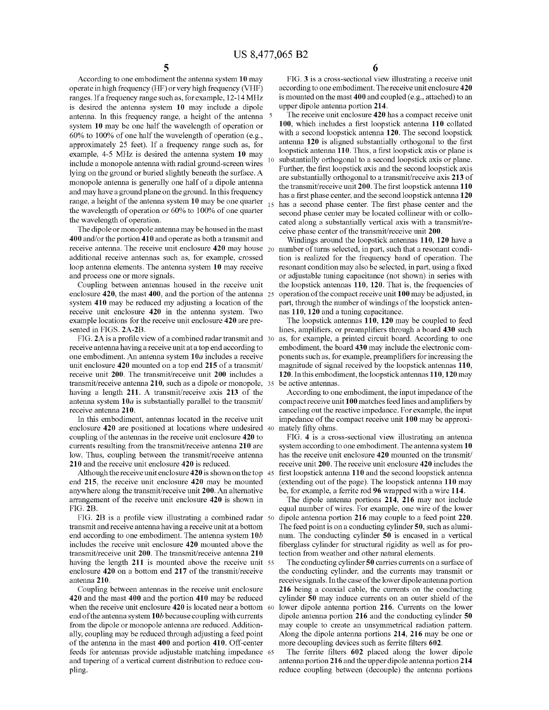According to one embodiment the antenna system 10 may operate in high frequency (HF) or very high frequency (VHF) ranges. If a frequency range such as, for example, 12-14 MHz is desired the antenna system 10 may include a dipole antenna. In this frequency range, a height of the antenna system 10 may be one half the wavelength of operation or 60% to 100% of one half the wavelength of operation (e.g., approximately 25 feet). If a frequency range such as, for example, 4-5 MHz is desired the antenna system 10 may include a monopole antenna with radial ground-screen wires lying on the ground or buried slightly beneath the surface. A monopole antenna is generally one half of a dipole antenna and may have a ground plane on the ground. In this frequency range, a height of the antenna system  $10$  may be one quarter  $_{15}$ the wavelength of operation or 60% to 100% of one quarter the wavelength of operation.

The dipole or monopole antenna may be housed in the mast 400 and/or the portion 410 and operate as both a transmit and receive antenna. The receive unit enclosure  $420$  may house  $_{20}$ additional receive antennas such as, for example, crossed loop antenna elements. The antenna system 10 may receive and process one or more signals.

Coupling between antennas housed in the receive unit enclosure 420, the mast 400, and the portion of the antenna 25 system 410 may be reduced my adjusting a location of the receive unit enclosure 420 in the antenna system. Two example locations for the receive unit enclosure 420 are presented in FIGS. 2A-2B.

FIG. 2A is a profile view of a combined radar transmit and 30 receive antenna having a receive unit at a top end according to one embodiment. An antenna system *lOa* includes a receive unit enclosure 420 mounted on a top end 215 of a transmit/ receive unit 200. The transmit/receive unit 200 includes a transmit/receive antenna 210, such as a dipole or monopole, 35 having a length 211. A transmit/receive axis 213 of the antenna system *lOa* is substantially parallel to the transmit/ receive antenna 210.

enclosure 420 are positioned at locations where undesired 40 coupling of the antennas in the receive unit enclosure 420 to currents resulting from the transmit/receive antenna 210 are low. Thus, coupling between the transmit/receive antenna 210 and the receive unit enclosure 420 is reduced.

Although the receive unit enclosure 420 is shown on the top 45 end 215, the receive unit enclosure 420 may be mounted anywhere along the transmit/receive unit 200. An alternative arrangement of the receive unit enclosure 420 is shown in FIG. 2B.

FIG. 2B is a profile view illustrating a combined radar 50 transmit and receive antenna having a receive unit at a bottom end according to one embodiment. The antenna system *lOb*  includes the receive unit enclosure 420 mounted above the transmit/receive unit 200. The transmit/receive antenna 210 having the length 211 is mounted above the receive unit 55 enclosure 420 on a bottom end 217 of the transmit/receive antenna 210.

Coupling between antennas in the receive unit enclosure 420 and the mast 400 and the portion 410 may be reduced when the receive unit enclosure 420 is located near a bottom 60 end of the antenna system  $10b$  because coupling with currents from the dipole or monopole antenna are reduced. Additionally, coupling may be reduced through adjusting a feed point of the antenna in the mast 400 and portion 410. Off-center feeds for antennas provide adjustable matching impedance 65 and tapering of a vertical current distribution to reduce coupling.

FIG. 3 is a cross-sectional view illustrating a receive unit according to one embodiment. The receive unit enclosure 420 is mounted on the mast 400 and coupled (e.g., attached) to an upper dipole antenna portion 214.

The receive unit enclosure 420 has a compact receive unit 100, which includes a first loopstick antenna 110 collated with a second loopstick antenna 120. The second loopstick antenna 120 is aligned substantially orthogonal to the first loopstick antenna 110. Thus, a first loopstick axis or plane is substantially orthogonal to a second loopstick axis or plane. Further, the first loopstick axis and the second loopstick axis are substantially orthogonal to a transmit/receive axis 213 of the transmit/receive unit 200. The first loopstick antenna 110 has a first phase center, and the second loopstick antenna 120 has a second phase center. The first phase center and the second phase center may be located collinear with or collocated along a substantially vertical axis with a transmit/receive phase center of the transmit/receive unit 200.

Windings around the loopstick antennas 110, 120 have a number of turns selected, in part, such that a resonant condition is realized for the frequency band of operation. The resonant condition may also be selected, in part, using a fixed or adjustable tuning capacitance (not shown) in series with the loopstick antennas 110, 120. That is, the frequencies of operation of the compact receive unit 100 may be adjusted, in part, through the number of windings of the loopstick antennas 110, 120 and a tuning capacitance.

The loopstick antennas 110, 120 may be coupled to feed lines, amplifiers, or preamplifiers through a board 430 such as, for example, a printed circuit board. According to one embodiment, the board 430 may include the electronic components such as, for example, preamplifiers for increasing the magnitude of signal received by the loopstick antennas 110, 120. In this embodiment, the loopstick antennas 110, 120 may be active antennas.

According to one embodiment, the input impedance of the compact receive unit 100 matches feed lines and amplifiers by canceling out the reactive impedance. For example, the input In this embodiment, antennas located in the receive unit impedance of the compact receive unit 100 may be approximately fifty ohms.

> FIG. 4 is a cross-sectional view illustrating an antenna system according to one embodiment. The antenna system 10 has the receive unit enclosure 420 mounted on the transmit/ receive unit 200. The receive unit enclosure 420 includes the first loopstick antenna 110 and the second loopstick antenna (extending out of the page). The loopstick antenna 110 may be, for example, a ferrite rod 96 wrapped with a wire 114.

> The dipole antenna portions 214, 216 may not include equal number of wires. For example, one wire of the lower dipole antenna portion 216 may couple to a feed point 220. The feed point is on a conducting cylinder 50, such as aluminum. The conducting cylinder 50 is encased in a vertical fiberglass cylinder for structural rigidity as well as for protection from weather and other natural elements.

> The conducting cylinder 50 carries currents on a surface of the conducting cylinder, and the currents may transmit or receive signals. In the case of the lower dipole antenna portion 216 being a coaxial cable, the currents on the conducting cylinder 50 may induce currents on an outer shield of the lower dipole antenna portion 216. Currents on the lower dipole antenna portion 216 and the conducting cylinder 50 may couple to create an unsymmetrical radiation pattern. Along the dipole antenna portions 214, 216 may be one or more decoupling devices such as ferrite filters 602.

> The ferrite filters 602 placed along the lower dipole antenna portion 216 and the upper dipole antenna portion 214 reduce coupling between (decouple) the antenna portions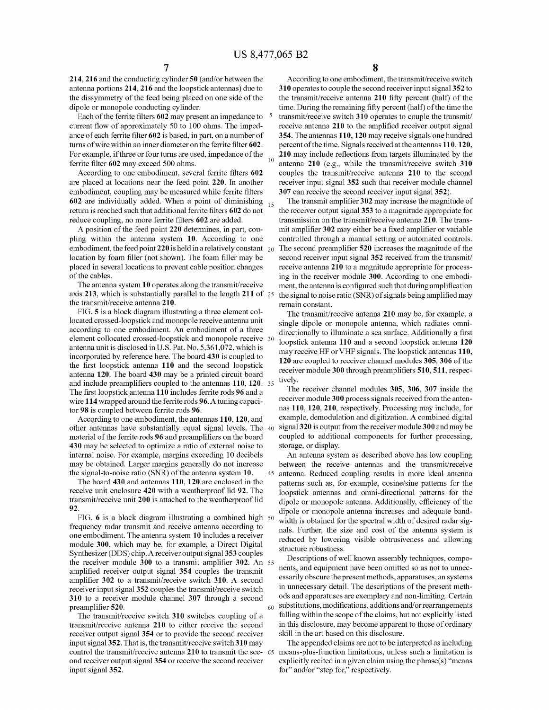**214, 216** and the conducting cylinder **50** (and/or between the antenna portions **214, 216** and the loopstick antennas) due to the dissymmetry of the feed being placed on one side of the dipole or monopole conducting cylinder.

Each of the ferrite filters **602** may present an impedance to current flow of approximately 50 to 100 ohms. The impedance of each ferrite filter **602** is based, in part, on a number of turns of wire within an inner diameter on the ferrite filter **602.**  For example, if three or four turns are used, impedance of the ferrite filter **602** may exceed 500 ohms.

According to one embodiment, several ferrite filters **602**  are placed at locations near the feed point **220.** In another embodiment, coupling may be measured while ferrite filters **602** are individually added. When a point of diminishing 15 return is reached such that additional ferrite filters **602** do not reduce coupling, no more ferrite filters **602** are added.

A position of the feed point **220** determines, in part, coupling within the antenna system **10.** According to one embodiment, the feed point **220** is held in a relatively constant location by foam filler (not shown). The foam filler may be placed in several locations to prevent cable position changes of the cables.

The antenna system **10** operates along the transmit/receive axis **213,** which is substantially parallel to the length **211** of the transmit/receive antenna **210.** 

FIG. **5** is a block diagram illustrating a three element collocated crossed-loopstick and monopole receive antenna unit according to one embodiment. An embodiment of a three element collocated crossed-loopstick and monopole receive 30 antenna unit is disclosed in U.S. Pat. No. 5,361,072, which is incorporated by reference here. The board **430** is coupled to the first loopstick antenna **110** and the second loopstick antenna **120.** The board **430** may be a printed circuit board and include preamplifiers coupled to the antennas **110, 120.** 35 The first loopstick antenna **110** includes ferrite rods **96** and a wire **114** wrapped around the ferrite rods **96.** A tuning capacitor **98** is coupled between ferrite rods **96.** 

According to one embodiment, the antennas **110, 120,** and other antennas have substantially equal signal levels. The 40 material of the ferrite rods **96** and preamplifiers on the board **430** may be selected to optimize a ratio of external noise to internal noise. For example, margins exceeding 10 decibels may be obtained. Larger margins generally do not increase

The board **430** and antennas **110, 120** are enclosed in the receive unit enclosure **420** with a weatherproof lid **92.** The transmit/receive unit **200** is attached to the weatherproof lid **92.** 

FIG. 6 is a block diagram illustrating a combined high 50 frequency radar transmit and receive antenna according to one embodiment. The antenna system **10** includes a receiver module **300,** which may be, for example, a Direct Digital Synthesizer (DDS) chip.A receiver output signal **353** couples the receiver module **300** to a transmit amplifier **302.** An amplified receiver output signal **354** couples the transmit amplifier **302** to a transmit/receive switch **310.** A second receiver input signal **352** couples the transmit/receive switch **310** to a receiver module channel **307** through a second preamplifier **520.** 

The transmit/receive switch **310** switches coupling of a transmit/receive antenna **210** to either receive the second receiver output signal **354** or to provide the second receiver input signal **352.** That is, the transmit/receive switch **310** may control the transmit/receive antenna **210** to transmit the sec- 65 ond receiver output signal **354** or receive the second receiver input signal **352.** 

**8** 

According to one embodiment, the transmit/receive switch **310** operates to couple the second receiver input signal **352** to the transmit/receive antenna **210** fifty percent (half) of the time. During the remaining fifty percent (half) of the time the transmit/receive switch **310** operates to couple the transmit/ receive antenna **210** to the amplified receiver output signal **354.** The antennas **110, 120** may receive signals one hundred percent of the time. Signals received at the antennas **110, 120, 210** may include reflections from targets illuminated by the antenna **210** (e.g., while the transmit/receive switch **310** couples the transmit/receive antenna **210** to the second receiver input signal **352** such that receiver module channel **307** can receive the second receiver input signal **352).** 

The transmit amplifier **302** may increase the magnitude of the receiver output signal **353** to a magnitude appropriate for transmission on the transmit/receive antenna **210.** The transmit amplifier **302** may either be a fixed amplifier or variable controlled through a manual setting or automated controls. 20 The second preamplifier **520** increases the magnitude of the second receiver input signal **352** received from the transmit/ receive antenna **210** to a magnitude appropriate for processing in the receiver module **300.** According to one embodiment, the antenna is configured such that during amplification the signal to noise ratio (SNR) of signals being amplified may remain constant.

The transmit/receive antenna **210** may be, for example, a single dipole or monopole antenna, which radiates omnidirectionally to illuminate a sea surface. Additionally a first loopstick antenna **110** and a second loopstick antenna **120**  may receive HF or VHF signals. The loopstick antennas **110, 120** are coupled to receiver charmel modules **305, 306** of the receiver module **300** through preamplifiers **510, 511,** respectively.

The receiver channel modules **305, 306, 307** inside the receiver module **300** process signals received from the antennas **110, 120, 210,** respectively. Processing may include, for example, demodulation and digitization. A combined digital signal 3 **20** is output from the receiver module 3 **00** and may be coupled to additional components for further processing, storage, or display.

An antenna system as described above has low coupling between the receive antennas and the transmit/receive the signal-to-noise ratio (SNR) of the antenna system **10.** 45 antenna. Reduced coupling results in more ideal antenna patterns such as, for example, cosine/sine patterns for the loopstick antennas and onmi-directional patterns for the dipole or monopole antenna. Additionally, efficiency of the dipole or monopole antenna increases and adequate bandwidth is obtained for the spectral width of desired radar signals. Further, the size and cost of the antenna system is reduced by lowering visible obtrusiveness and allowing structure robustness.

> Descriptions of well known assembly techniques, components, and equipment have been omitted so as not to unnecessarily obscure the present methods, apparatuses, an systems in unnecessary detail. The descriptions of the present methods and apparatuses are exemplary and non-limiting. Certain  $_{60}$  substitutions, modifications, additions and/or rearrangements falling within the scope of the claims, but not explicitly listed in this disclosure, may become apparent to those of ordinary skill in the art based on this disclosure.

The appended claims are not to be interpreted as including means-plus-function limitations, unless such a limitation is explicitly recited in a given claim using the phrase(s) "means for" and/or "step for," respectively.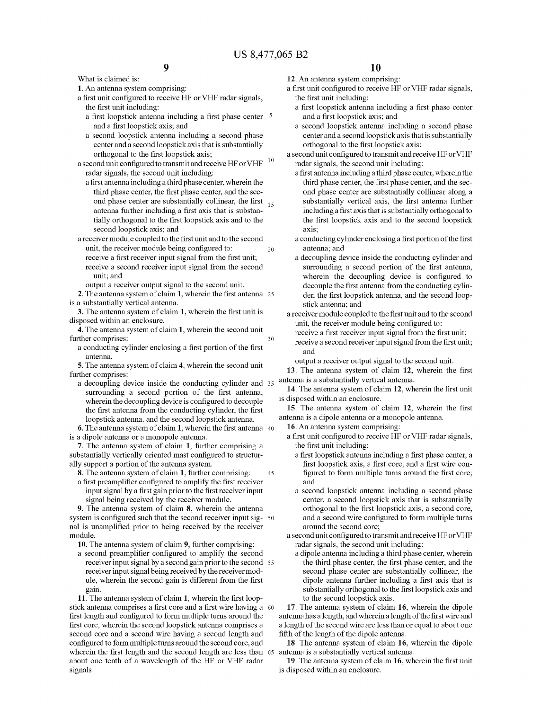What is claimed is:

**1.** An antenna system comprising:

a first unit configured to receive HF or VHF radar signals, the first unit including:

- a first loopstick antenna including a first phase center and a first loopstick axis; and
- a second loopstick antenna including a second phase center and a second loopstick axis that is substantially orthogonal to the first loopstick axis;

a second unit configured to transmit and receive HF or VHF  $\,$   $^{10}$ radar signals, the second unit including:

- a first antenna including a third phase center, wherein the third phase center, the first phase center, and the second phase center are substantially collinear, the first  $_{15}$ antenna further including a first axis that is substantially orthogonal to the first loopstick axis and to the second loopstick axis; and
- a receiver module coupled to the first unit and to the second unit, the receiver module being configured to: 20 receive a first receiver input signal from the first unit; receive a second receiver input signal from the second unit; and

output a receiver output signal to the second unit.

**2.** The antenna system of claim **1,** wherein the first antenna 25 is a substantially vertical antenna.

**3.** The antenna system of claim **1,** wherein the first unit is disposed within an enclosure.

**4.** The antenna system of claim **1,** wherein the second unit further comprises: 30

a conducting cylinder enclosing a first portion of the first antenna.

**5.** The antenna system of claim **4,** wherein the second unit further comprises:

a decoupling device inside the conducting cylinder and 35 surrounding a second portion of the first antenna, wherein the decoupling device is configured to decouple the first antenna from the conducting cylinder, the first loopstick antenna, and the second loopstick antenna.

**6.** The antenna system of claim **1,** wherein the first antenna 40 is a dipole antenna or a monopole antenna.

**7.** The antenna system of claim **1,** further comprising a substantially vertically oriented mast configured to structurally support a portion of the antenna system.

**8.** The antenna system of claim **1,** further comprising: 45

a first preamplifier configured to amplify the first receiver input signal by a first gain prior to the first receiver input signal being received by the receiver module.

**9.** The antenna system of claim **8,** wherein the antenna system is configured such that the second receiver input sig- 50 nal is unamplified prior to being received by the receiver module.

**10.** The antenna system of claim **9,** further comprising:

a second preamplifier configured to amplify the second receiver input signal by a second gain prior to the second 55 receiver input signal being received by the receiver module, wherein the second gain is different from the first gain.

**11.** The antenna system of claim **1,** wherein the first loopstick antenna comprises a first core and a first wire having a 60 first length and configured to form multiple turns around the first core, wherein the second loopstick antenna comprises a second core and a second wire having a second length and configured to form multiple turns around the second core, and wherein the first length and the second length are less than 65 about one tenth of a wavelength of the HF or VHF radar signals.

- **12.** An antenna system comprising:
- a first unit configured to receive HF or VHF radar signals, the first unit including:
	- a first loopstick antenna including a first phase center and a first loopstick axis; and
	- a second loopstick antenna including a second phase center and a second loopstick axis that is substantially orthogonal to the first loopstick axis;
- a second unit configured to transmit and receive HF or VHF radar signals, the second unit including:
	- a first antenna including a third phase center, wherein the third phase center, the first phase center, and the second phase center are substantially collinear along a substantially vertical axis, the first antenna further including a first axis that is substantially orthogonal to the first loopstick axis and to the second loopstick axis;
	- a conducting cylinder enclosing a first portion of the first antenna; and
	- a decoupling device inside the conducting cylinder and surrounding a second portion of the first antenna, wherein the decoupling device is configured to decouple the first antenna from the conducting cylinder, the first loopstick antenna, and the second loopstick antenna; and
- a receiver module coupled to the first unit and to the second unit, the receiver module being configured to:
	- receive a first receiver input signal from the first unit;
	- receive a second receiver input signal from the first unit; and

output a receiver output signal to the second unit.

**13.** The antenna system of claim **12,** wherein the first antenna is a substantially vertical antenna.

**14.** The antenna system of claim **12,** wherein the first unit is disposed within an enclosure.

**15.** The antenna system of claim **12,** wherein the first antenna is a dipole antenna or a monopole antenna.

**16.** An antenna system comprising:

- a first unit configured to receive HF or VHF radar signals, the first unit including:
	- a first loopstick antenna including a first phase center, a first loopstick axis, a first core, and a first wire configured to form multiple turns around the first core; and
	- a second loopstick antenna including a second phase center, a second loopstick axis that is substantially orthogonal to the first loopstick axis, a second core, and a second wire configured to form multiple turns around the second core;
- a second unit configured to transmit and receive HF or VHF radar signals, the second unit including:
	- a dipole antenna including a third phase center, wherein the third phase center, the first phase center, and the second phase center are substantially collinear, the dipole antenna further including a first axis that is substantially orthogonal to the first loopstick axis and to the second loopstick axis.

**17.** The antenna system of claim **16,** wherein the dipole antenna has a length, and wherein a length of the first wire and a length of the second wire are less than or equal to about one fifth of the length of the dipole antenna.

**18.** The antenna system of claim **16,** wherein the dipole antenna is a substantially vertical antenna.

**19.** The antenna system of claim **16,** wherein the first unit is disposed within an enclosure.